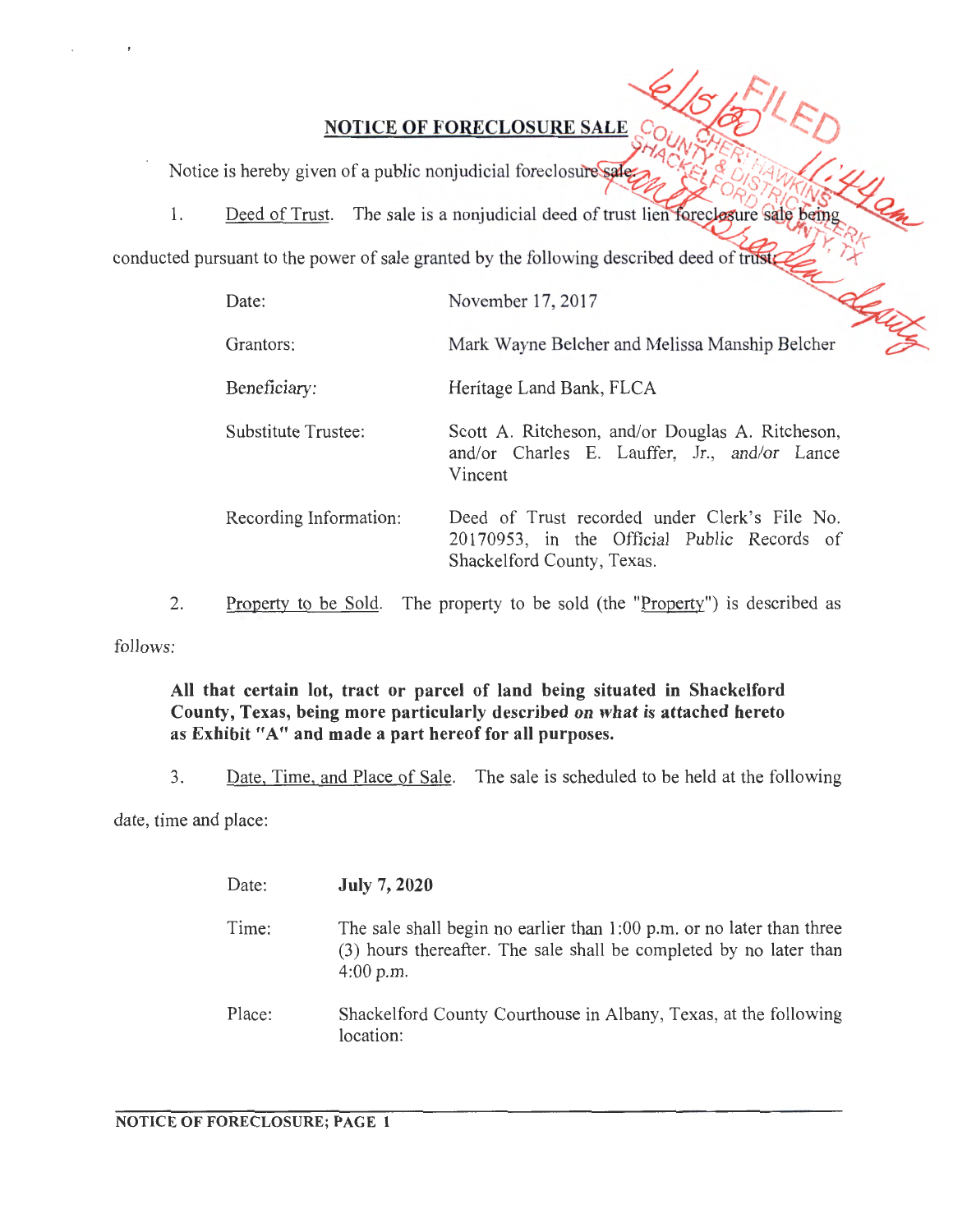Notice is hereby given of a public nonjudicial foreclosure sale.

1.

conducted pursuant to the power of sale granted by the following described deed of trust

| Date:                  | November 17, 2017                                                                                                          |
|------------------------|----------------------------------------------------------------------------------------------------------------------------|
| Grantors:              | Mark Wayne Belcher and Melissa Manship Belcher                                                                             |
| Beneficiary:           | Heritage Land Bank, FLCA                                                                                                   |
| Substitute Trustee:    | Scott A. Ritcheson, and/or Douglas A. Ritcheson,<br>and/or Charles E. Lauffer, Jr., and/or Lance<br>Vincent                |
| Recording Information: | Deed of Trust recorded under Clerk's File No.<br>20170953, in the Official Public Records of<br>Shackelford County, Texas. |

2. Property to be Sold. The property to be sold (the " $Proof$ ") is described as

follows:

## **All that certain lot, tract or parcel of land being situated in Shackelford County, Texas, being more particularly described on what is attached hereto as Exhibit "A" and made a part hereof for all purposes.**

3. Date, Time, and Place of Sale. The sale is scheduled to be held at the following

date, time and place:

| Date:  | <b>July 7, 2020</b>                                                                                                                                          |
|--------|--------------------------------------------------------------------------------------------------------------------------------------------------------------|
| Time:  | The sale shall begin no earlier than $1:00$ p.m. or no later than three<br>(3) hours thereafter. The sale shall be completed by no later than<br>$4:00$ p.m. |
| Place: | Shackelford County Courthouse in Albany, Texas, at the following<br>location:                                                                                |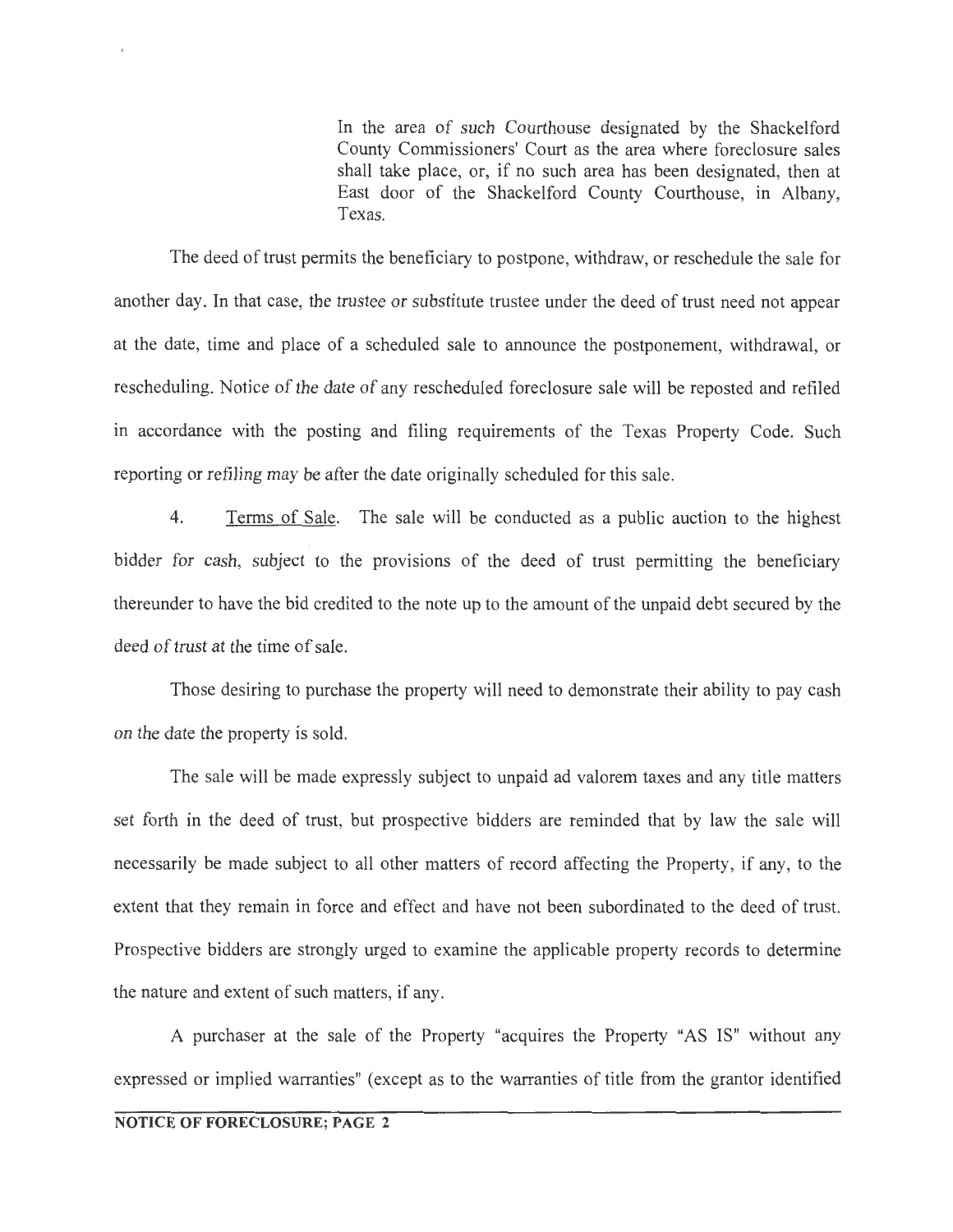In the area of such Courthouse designated by the Shackelford County Commissioners' Court as the area where foreclosure sales shall take place, or, if no such area has been designated, then at East door of the Shackelford County Courthouse, in Albany, Texas.

The deed of trust permits the beneficiary to postpone, withdraw, or reschedule the sale for another day. In that case, the trustee or substitute trustee under the deed of trust need not appear at the date, time and place of a scheduled sale to announce the postponement, withdrawal, or rescheduling. Notice of the date of any rescheduled foreclosure sale will be reposted and refiled in accordance with the posting and filing requirements of the Texas Property Code. Such reporting or refiling may be after the date originally scheduled for this sale.

4. Terms of Sale. The sale will be conducted as a public auction to the highest bidder for cash, subject to the provisions of the deed of trust permitting the beneficiary thereunder to have the bid credited to the note up to the amount of the unpaid debt secured by the deed of trust at the time of sale.

Those desiring to purchase the property will need to demonstrate their ability to pay cash on the date the property is sold.

The sale will be made expressly subject to unpaid ad valorem taxes and any title matters set forth in the deed of trust, but prospective bidders are reminded that by law the sale will necessarily be made subject to all other matters of record affecting the Property, if any, to the extent that they remain in force and effect and have not been subordinated to the deed of trust. Prospective bidders are strongly urged to examine the applicable property records to determine the nature and extent of such matters, if any.

A purchaser at the sale of the Property "acquires the Property "AS IS" without any expressed or implied warranties" (except as to the warranties of title from the grantor identified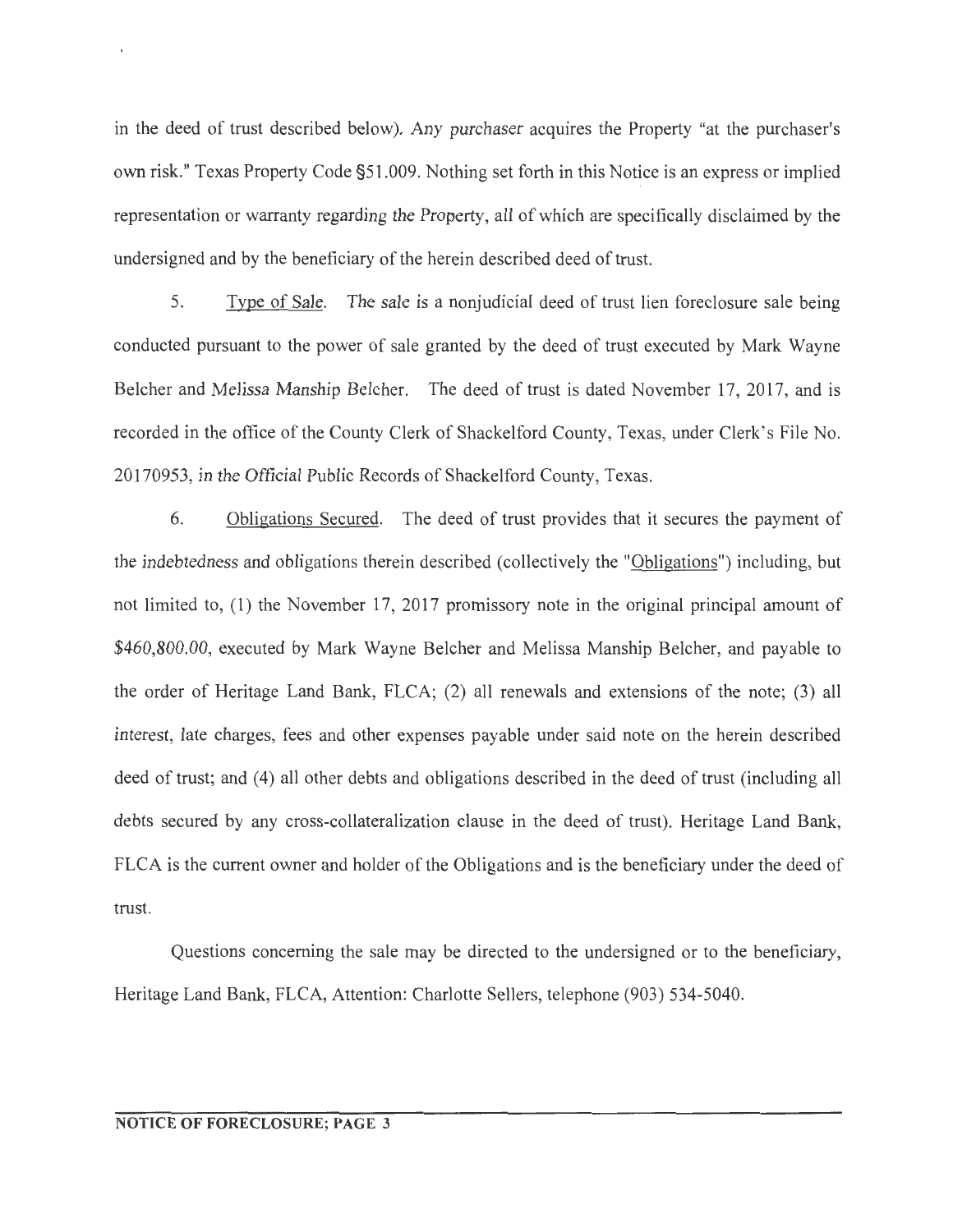in the deed of trust described below). Any purchaser acquires the Property "at the purchaser's own risk." Texas Property Code §51.009. Nothing set forth in this Notice is an express or implied representation or warranty regarding the Property, all of which are specifically disclaimed by the undersigned and by the beneficiary of the herein described deed of trust.

5. Type of Sale. The sale is a nonjudicial deed of trust lien foreclosure sale being conducted pursuant to the power of sale granted by the deed of trust executed by Mark Wayne Belcher and Melissa Manship Belcher. The deed of trust is dated November 17, 2017, and is recorded in the office of the County Clerk of Shackelford County, Texas, under Clerk's File No. 20170953 , in the Official Public Records of Shackelford County, Texas.

6. Obligations Secured. The deed of trust provides that it secures the payment of the indebtedness and obligations therein described (collectively the "Obligations") including, but not limited to, (1) the November 17, 2017 promissory note in the original principal amount of \$460,800.00, executed by Mark Wayne Belcher and Melissa Manship Belcher, and payable to the order of Heritage Land Bank, FLCA; (2) all renewals and extensions of the note; (3) all interest, late charges, fees and other expenses payable under said note on the herein described deed of trust; and (4) all other debts and obligations described in the deed of trust (including all debts secured by any cross-collateralization clause in the deed of trust). Heritage Land Bank, FLCA is the current owner and holder of the Obligations and is the beneficiary under the deed of trust.

Questions concerning the sale may be directed to the undersigned or to the beneficiary, Heritage Land Bank, FLCA, Attention: Charlotte Sellers, telephone (903) 534-5040.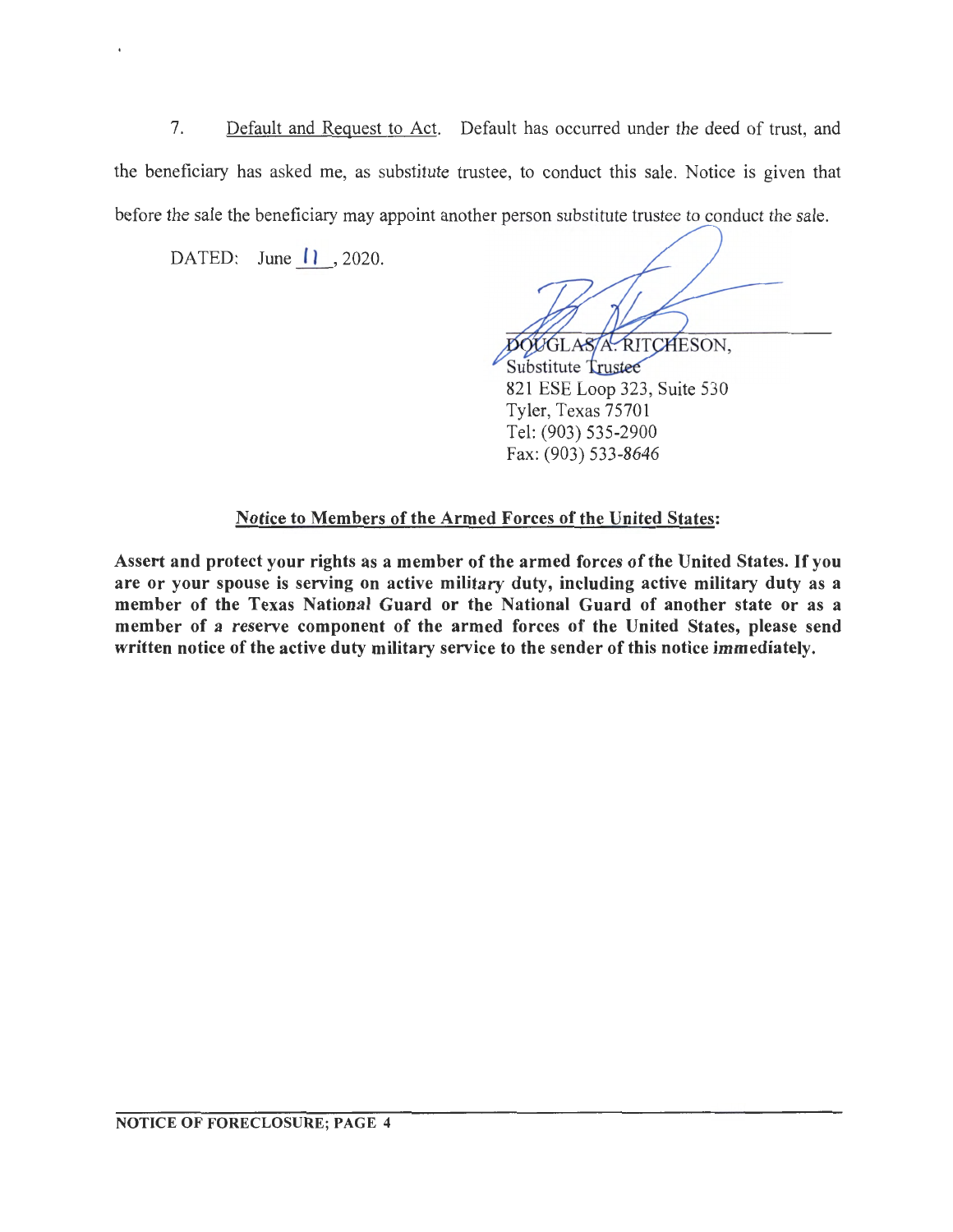7. Default and Request to Act. Default has occurred under the deed of trust, and the beneficiary has asked me, as substitute trustee, to conduct this sale. Notice is given that before the sale the beneficiary may appoint another person substitute trustee to conduct the sale.

DATED: June  $\vert \vert \vert$ , 2020.

OOGLASA. RITCHESON.

Substitute Trustee 821 ESE Loop 323, Suite 530 Tyler, Texas 75701 Tel: (903) 535-2900 Fax: (903) 533-8646

## Notice to Members of the Armed Forces of the United States:

Assert and protect your rights as a member of the armed forces of the United States. If you are or your spouse is serving on active military duty, including active military duty as a member of the Texas National Guard or the National Guard of another state or as a member of a reserve component of the armed forces of the United States, please send written notice of the active duty military service to the sender of this notice immediately.